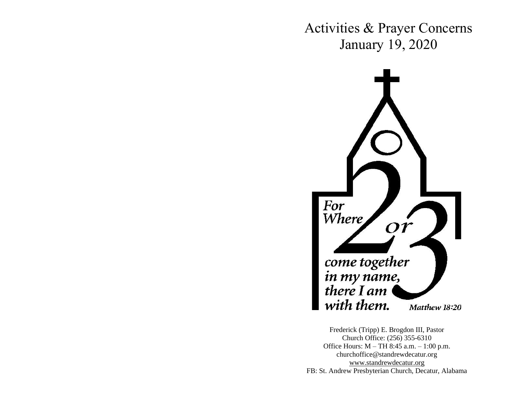Activities & Prayer Concerns January 19, 2020



Frederick (Tripp) E. Brogdon III, Pastor Church Office: (256) 355-6310 Office Hours: M – TH 8:45 a.m. – 1:00 p.m. churchoffice@standrewdecatur.org [www.standrewdecatur.](http://www.standrewdecatur/)org FB: St. Andrew Presbyterian Church, Decatur, Alabama